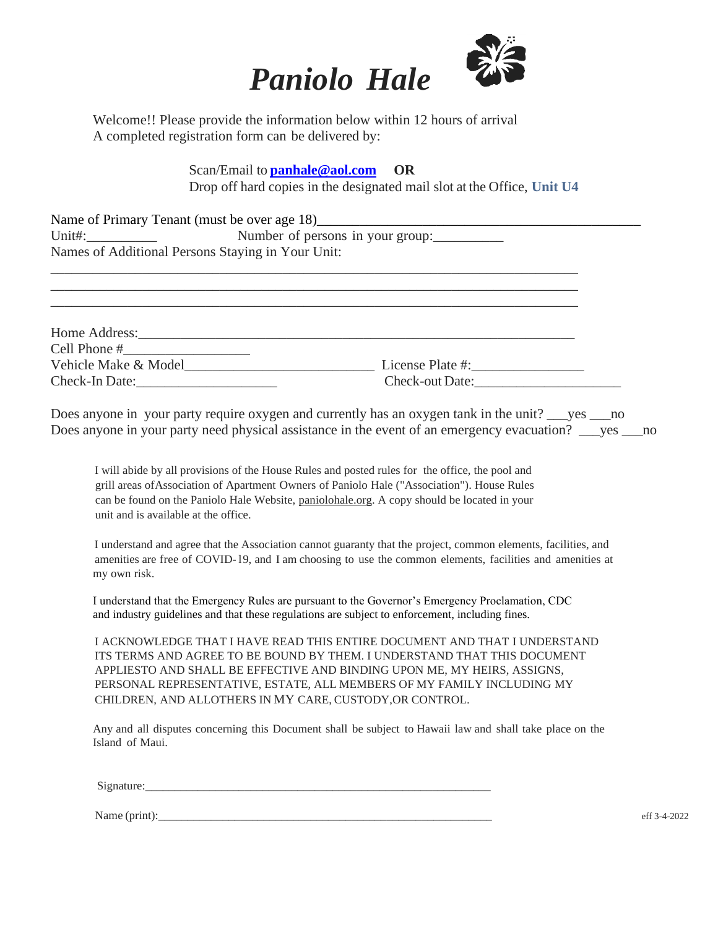

Welcome!! Please provide the information below within 12 hours of arrival A completed registration form can be delivered by:

> Scan/Email to **[panhale@aol.com](mailto:panhale@aol.com) OR** Drop off hard copies in the designated mail slot at the Office, **Unit U4**

| Name of Primary Tenant (must be over age 18)      |  |
|---------------------------------------------------|--|
| Unit#:<br>Number of persons in your group:        |  |
| Names of Additional Persons Staying in Your Unit: |  |
|                                                   |  |

\_\_\_\_\_\_\_\_\_\_\_\_\_\_\_\_\_\_\_\_\_\_\_\_\_\_\_\_\_\_\_\_\_\_\_\_\_\_\_\_\_\_\_\_\_\_\_\_\_\_\_\_\_\_\_\_\_\_\_\_\_\_\_\_\_\_\_\_\_\_\_\_\_\_\_ \_\_\_\_\_\_\_\_\_\_\_\_\_\_\_\_\_\_\_\_\_\_\_\_\_\_\_\_\_\_\_\_\_\_\_\_\_\_\_\_\_\_\_\_\_\_\_\_\_\_\_\_\_\_\_\_\_\_\_\_\_\_\_\_\_\_\_\_\_\_\_\_\_\_\_

| License Plate #:       |
|------------------------|
| <b>Check-out Date:</b> |
|                        |

Does anyone in your party require oxygen and currently has an oxygen tank in the unit? ves no Does anyone in your party need physical assistance in the event of an emergency evacuation? wes no

I will abide by all provisions of the House Rules and posted rules for the office, the pool and grill areas ofAssociation of Apartment Owners of Paniolo Hale ("Association"). House Rules can be found on the Paniolo Hale Website, paniolohale.org. A copy should be located in your unit and is available at the office.

I understand and agree that the Association cannot guaranty that the project, common elements, facilities, and amenities are free of COVID- l9, and I am choosing to use the common elements, facilities and amenities at my own risk.

I understand that the Emergency Rules are pursuant to the Governor's Emergency Proclamation, CDC and industry guidelines and that these regulations are subject to enforcement, including fines.

I ACKNOWLEDGE THAT I HAVE READ THIS ENTIRE DOCUMENT AND THAT I UNDERSTAND ITS TERMS AND AGREE TO BE BOUND BY THEM. I UNDERSTAND THAT THIS DOCUMENT APPLIESTO AND SHALL BE EFFECTIVE AND BINDING UPON ME, MY HEIRS, ASSIGNS, PERSONAL REPRESENTATIVE, ESTATE, ALL MEMBERS OF MY FAMILY INCLUDING MY CHILDREN, AND ALLOTHERS IN MY CARE, CUSTODY,OR CONTROL.

Any and all disputes concerning this Document shall be subject to Hawaii law and shall take place on the Island of Maui.

Signature:

Name (print): eff 3-4-2022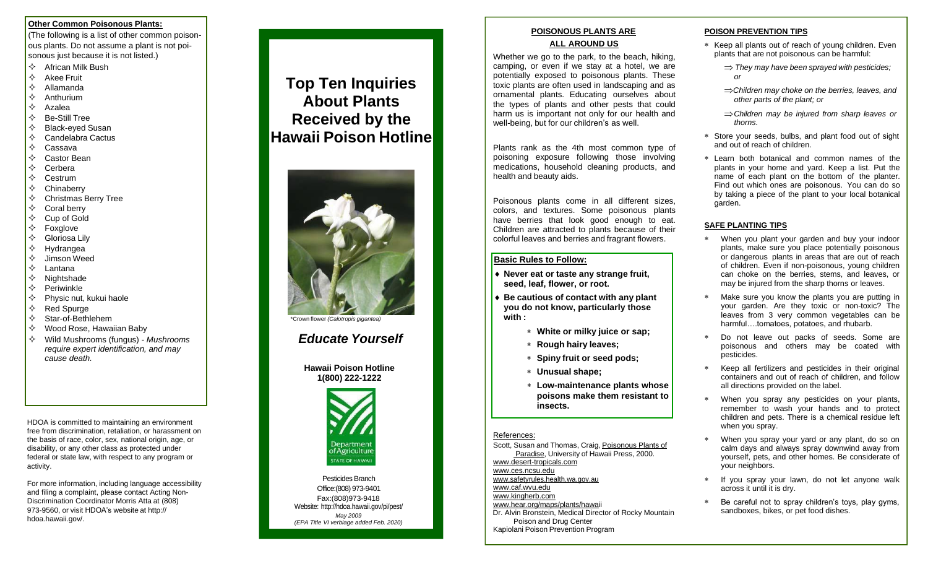### **Other Common Poisonous Plants:**

(The following is a list of other common poisonous plants. Do not assume a plant is not poisonous just because it is not listed.)

- $\Leftrightarrow$  African Milk Bush
- $\Leftrightarrow$  Akee Fruit
- $\Leftrightarrow$  Allamanda
- $\Leftrightarrow$  Anthurium
- $\Diamond$  Azalea
- $\Leftrightarrow$  Be-Still Tree
- $\diamond$  Black-eyed Susan
- $\Diamond$  Candelabra Cactus
- $\Leftrightarrow$  Cassava
- Castor Bean
- $\Leftrightarrow$  Cerbera
- $\Leftrightarrow$  Cestrum
- $\Leftrightarrow$  Chinaberry
- $\Leftrightarrow$  Christmas Berry Tree
- $\Leftrightarrow$  Coral berry
- $\lozenge$  Cup of Gold
- $\Leftrightarrow$  Foxalove
- $\Leftrightarrow$  Gloriosa Lily
- $\Leftrightarrow$  Hydrangea
- $\Diamond$  Jimson Weed
- Lantana
- $\Leftrightarrow$  Nightshade
- $\Leftrightarrow$  Periwinkle
- $\Leftrightarrow$  Physic nut, kukui haole
- $\Leftrightarrow$  Red Spurge
- $\diamondsuit$  Star-of-Bethlehem
- $\diamond$  Wood Rose, Hawaiian Baby
- Wild Mushrooms (fungus) *Mushrooms require expert identification, and may cause death.*

HDOA is committed to maintaining an environment free from discrimination, retaliation, or harassment on the basis of race, color, sex, national origin, age, or disability, or any other class as protected under federal or state law, with respect to any program or activity.

For more information, including language accessibility and filing a complaint, please contact Acting Non-Discrimination Coordinator Morris Atta at (808) 973-9560, or visit HDOA's website at http:// hdoa.hawaii.gov/.

# **Top Ten Inquiries About Plants Received by the Hawaii Poison Hotline**



\*Crown flower *(Calotropis gigantea)*

# *Educate Yourself*

**Hawaii Poison Hotline 1(800) 222-1222**



Pesticides Branch Office:(808) 973-9401 Fax:(808)973-9418 Website: <http://hdoa.hawaii.gov/pi/pest/> *May 2009 (EPA Title VI verbiage added Feb. 2020)*

## **POISONOUS PLANTS ARE ALL AROUND US**

Whether we go to the park, to the beach, hiking, camping, or even if we stay at a hotel, we are potentially exposed to poisonous plants. These toxic plants are often used in landscaping and as ornamental plants. Educating ourselves about the types of plants and other pests that could harm us is important not only for our health and well-being, but for our children's as well.

Plants rank as the 4th most common type of poisoning exposure following those involving medications, household cleaning products, and health and beauty aids.

Poisonous plants come in all different sizes, colors, and textures. Some poisonous plants have berries that look good enough to eat. Children are attracted to plants because of their colorful leaves and berries and fragrant flowers.

## **Basic Rules to Follow:**

- **Never eat or taste any strange fruit, seed, leaf, flower, or root.**
- **Be cautious of contact with any plant you do not know, particularly those with :**
	- **White or milky juice or sap;**
	- **Rough hairy leaves;**
	- **Spiny fruit or seed pods;**
	- **Unusual shape;**
	- **Low-maintenance plants whose poisons make them resistant to insects.**

#### References:

Scott, Susan and Thomas, Craig, Poisonous Plants of Paradise, University of Hawaii Press, 2000. [www.desert-tropicals.com](http://www.desert-tropicals.com/) [www.ces.ncsu.edu](http://www.ces.ncsu.edu/) [www.safetyrules.health.wa.gov.au](http://www.safetyrules.health.wa.gov.au/)

#### [www.caf.wvu.edu](http://www.caf.wvu.edu/)

[www.kingherb.com](http://www.kingherb.com/)

[www.hear.org/maps/plants/hawaii](http://www.hear.org/maps/plants/hawaii)

Dr. Alvin Bronstein, Medical Director of Rocky Mountain Poison and Drug Center Kapiolani Poison Prevention Program

# **POISON PREVENTION TIPS**

- Keep all plants out of reach of young children. Even plants that are not poisonous can be harmful:
	- *They may have been sprayed with pesticides; or*
	- *Children may choke on the berries, leaves, and other parts of the plant; or*
	- *Children may be injured from sharp leaves or thorns.*
- Store your seeds, bulbs, and plant food out of sight and out of reach of children.
- Learn both botanical and common names of the plants in your home and yard. Keep a list. Put the name of each plant on the bottom of the planter. Find out which ones are poisonous. You can do so by taking a piece of the plant to your local botanical garden.

# **SAFE PLANTING TIPS**

- When you plant your garden and buy your indoor plants, make sure you place potentially poisonous or dangerous plants in areas that are out of reach of children. Even if non-poisonous, young children can choke on the berries, stems, and leaves, or may be injured from the sharp thorns or leaves.
- Make sure you know the plants you are putting in your garden. Are they toxic or non-toxic? The leaves from 3 very common vegetables can be harmful….tomatoes, potatoes, and rhubarb.
- Do not leave out packs of seeds. Some are poisonous and others may be coated with pesticides.
- Keep all fertilizers and pesticides in their original containers and out of reach of children, and follow all directions provided on the label.
- When you spray any pesticides on your plants, remember to wash your hands and to protect children and pets. There is a chemical residue left when you spray.
- When you spray your yard or any plant, do so on calm days and always spray downwind away from yourself, pets, and other homes. Be considerate of your neighbors.
- If you spray your lawn, do not let anyone walk across it until it is dry.
- Be careful not to spray children's toys, play gyms, sandboxes, bikes, or pet food dishes.